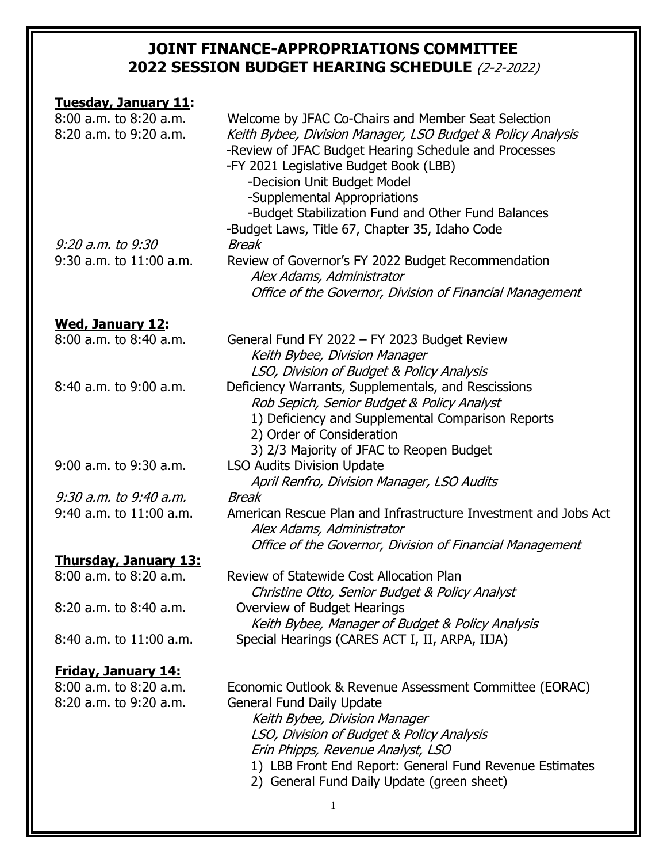| <b>Tuesday, January 11:</b>  |                                                                                 |
|------------------------------|---------------------------------------------------------------------------------|
| 8:00 a.m. to 8:20 a.m.       | Welcome by JFAC Co-Chairs and Member Seat Selection                             |
| 8:20 a.m. to 9:20 a.m.       | Keith Bybee, Division Manager, LSO Budget & Policy Analysis                     |
|                              | -Review of JFAC Budget Hearing Schedule and Processes                           |
|                              | -FY 2021 Legislative Budget Book (LBB)                                          |
|                              | -Decision Unit Budget Model                                                     |
|                              |                                                                                 |
|                              | -Supplemental Appropriations                                                    |
|                              | -Budget Stabilization Fund and Other Fund Balances                              |
|                              | -Budget Laws, Title 67, Chapter 35, Idaho Code                                  |
| 9:20 a.m. to 9:30            | <b>Break</b>                                                                    |
| $9:30$ a.m. to $11:00$ a.m.  | Review of Governor's FY 2022 Budget Recommendation                              |
|                              | Alex Adams, Administrator                                                       |
|                              | Office of the Governor, Division of Financial Management                        |
|                              |                                                                                 |
| <b>Wed, January 12:</b>      |                                                                                 |
| 8:00 a.m. to 8:40 a.m.       | General Fund FY 2022 - FY 2023 Budget Review                                    |
|                              | Keith Bybee, Division Manager                                                   |
|                              | LSO, Division of Budget & Policy Analysis                                       |
| 8:40 a.m. to 9:00 a.m.       |                                                                                 |
|                              | Deficiency Warrants, Supplementals, and Rescissions                             |
|                              | Rob Sepich, Senior Budget & Policy Analyst                                      |
|                              | 1) Deficiency and Supplemental Comparison Reports                               |
|                              | 2) Order of Consideration                                                       |
|                              | 3) 2/3 Majority of JFAC to Reopen Budget                                        |
| 9:00 a.m. to 9:30 a.m.       | <b>LSO Audits Division Update</b>                                               |
|                              | April Renfro, Division Manager, LSO Audits                                      |
| 9:30 a.m. to 9:40 a.m.       | Break                                                                           |
| $9:40$ a.m. to $11:00$ a.m.  | American Rescue Plan and Infrastructure Investment and Jobs Act                 |
|                              | Alex Adams, Administrator                                                       |
|                              |                                                                                 |
|                              | Office of the Governor, Division of Financial Management                        |
| <u>Thursday, January 13:</u> |                                                                                 |
| $8:00$ a.m. to $8:20$ a.m.   | Review of Statewide Cost Allocation Plan                                        |
|                              | Christine Otto, Senior Budget & Policy Analyst                                  |
| 8:20 a.m. to 8:40 a.m.       | Overview of Budget Hearings<br>Keith Bybee, Manager of Budget & Policy Analysis |
| 8:40 a.m. to 11:00 a.m.      | Special Hearings (CARES ACT I, II, ARPA, IIJA)                                  |
|                              |                                                                                 |
| <b>Friday, January 14:</b>   |                                                                                 |
| $8:00$ a.m. to $8:20$ a.m.   | Economic Outlook & Revenue Assessment Committee (EORAC)                         |
| 8:20 a.m. to 9:20 a.m.       | <b>General Fund Daily Update</b>                                                |
|                              | Keith Bybee, Division Manager                                                   |
|                              | LSO, Division of Budget & Policy Analysis                                       |
|                              |                                                                                 |
|                              | Erin Phipps, Revenue Analyst, LSO                                               |
|                              | 1) LBB Front End Report: General Fund Revenue Estimates                         |
|                              | 2) General Fund Daily Update (green sheet)                                      |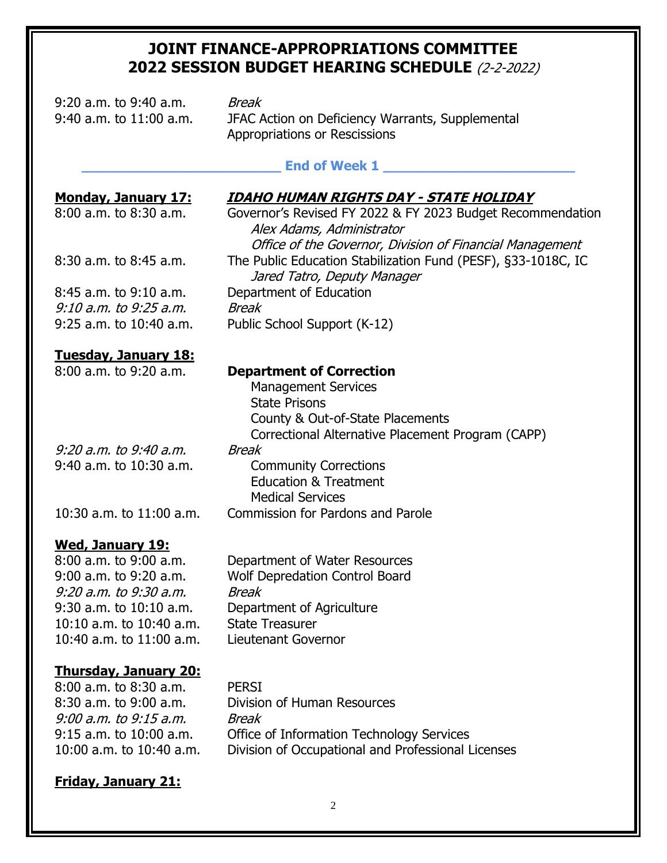9:20 a.m. to 9:40 a.m. Break 9:40 a.m. to 11:00 a.m. JFAC Action on Deficiency Warrants, Supplemental Appropriations or Rescissions

# End of Week 1

Alex Adams, Administrator

Jared Tatro, Deputy Manager

#### **Monday, January 17: IDAHO HUMAN RIGHTS DAY - STATE HOLIDAY**

Office of the Governor, Division of Financial Management

8:00 a.m. to 8:30 a.m. Governor's Revised FY 2022 & FY 2023 Budget Recommendation

8:30 a.m. to 8:45 a.m. The Public Education Stabilization Fund (PESF), §33-1018C, IC

8:45 a.m. to 9:10 a.m. Department of Education 9:10 a.m. to 9:25 a.m. Break 9:25 a.m. to 10:40 a.m. Public School Support (K-12)

#### **Tuesday, January 18:**

| ------------------------- |  |
|---------------------------|--|
| 8:00 a.m. to 9:20 a.m.    |  |

9:20 a.m. to 9:40 a.m. Break 9:40 a.m. to 10:30 a.m. Community Corrections

### **Wed, January 19:**

8:00 a.m. to 9:00 a.m. Department of Water Resources 9:00 a.m. to 9:20 a.m. Wolf Depredation Control Board 9:20 a.m. to 9:30 a.m. Break 10:10 a.m. to 10:40 a.m. State Treasurer 10:40 a.m. to 11:00 a.m. Lieutenant Governor

9:30 a.m. to 10:10 a.m. Department of Agriculture

### **Thursday, January 20:**

8:00 a.m. to 8:30 a.m. PERSI 9:00 a.m. to 9:15 a.m. Break

8:30 a.m. to 9:00 a.m. Division of Human Resources 9:15 a.m. to 10:00 a.m. Office of Information Technology Services 10:00 a.m. to 10:40 a.m. Division of Occupational and Professional Licenses

### **Friday, January 21:**

**Department of Correction** Management Services State Prisons

County & Out-of-State Placements Correctional Alternative Placement Program (CAPP)

# Education & Treatment Medical Services

10:30 a.m. to 11:00 a.m. Commission for Pardons and Parole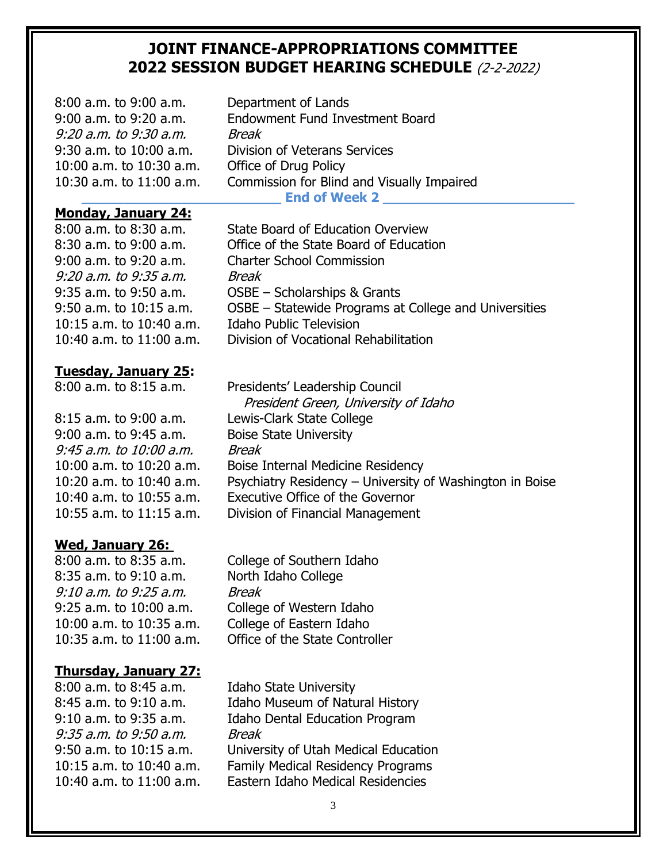| $8:00$ a.m. to $9:00$ a.m.<br>$9:00$ a.m. to $9:20$ a.m.<br>9:20 a.m. to 9:30 a.m.<br>$9:30$ a.m. to 10:00 a.m.<br>10:00 a.m. to $10:30$ a.m.<br>10:30 a.m. to $11:00$ a.m. | Department of Lands<br>Endowment Fund Investment Board<br>Break<br>Division of Veterans Services<br>Office of Drug Policy<br>Commission for Blind and Visually Impaired<br><b>End of Week 2</b> |
|-----------------------------------------------------------------------------------------------------------------------------------------------------------------------------|-------------------------------------------------------------------------------------------------------------------------------------------------------------------------------------------------|
| <b>Monday, January 24:</b>                                                                                                                                                  |                                                                                                                                                                                                 |
| $8:00$ a.m. to $8:30$ a.m.                                                                                                                                                  | <b>State Board of Education Overview</b>                                                                                                                                                        |
| 8:30 a.m. to 9:00 a.m.                                                                                                                                                      | Office of the State Board of Education                                                                                                                                                          |
| $9:00$ a.m. to $9:20$ a.m.                                                                                                                                                  | <b>Charter School Commission</b>                                                                                                                                                                |
| 9:20 a.m. to 9:35 a.m.                                                                                                                                                      | <b>Break</b>                                                                                                                                                                                    |
| $9:35$ a.m. to $9:50$ a.m.                                                                                                                                                  | OSBE - Scholarships & Grants                                                                                                                                                                    |
| $9:50$ a.m. to $10:15$ a.m.                                                                                                                                                 | OSBE – Statewide Programs at College and Universities                                                                                                                                           |
| 10:15 a.m. to $10:40$ a.m.                                                                                                                                                  | <b>Idaho Public Television</b>                                                                                                                                                                  |
| 10:40 a.m. to $11:00$ a.m.                                                                                                                                                  | Division of Vocational Rehabilitation                                                                                                                                                           |

### **Tuesday, January 25:**

8:15 a.m. to 9:00 a.m. Lewis-Clark State College 9:00 a.m. to 9:45 a.m. Boise State University 9:45 a.m. to 10:00 a.m. Break

# **Wed, January 26:**

8:35 a.m. to 9:10 a.m. North Idaho College 9:10 a.m. to 9:25 a.m. Break 10:00 a.m. to 10:35 a.m. College of Eastern Idaho

# **Thursday, January 27:**

8:00 a.m. to 8:45 a.m. Idaho State University 9:35 a.m. to 9:50 a.m. Break

8:00 a.m. to 8:15 a.m. Presidents' Leadership Council President Green, University of Idaho 10:00 a.m. to 10:20 a.m. Boise Internal Medicine Residency 10:20 a.m. to 10:40 a.m. Psychiatry Residency – University of Washington in Boise 10:40 a.m. to 10:55 a.m. Executive Office of the Governor 10:55 a.m. to 11:15 a.m. Division of Financial Management

8:00 a.m. to 8:35 a.m. College of Southern Idaho 9:25 a.m. to 10:00 a.m. College of Western Idaho 10:35 a.m. to 11:00 a.m. Office of the State Controller

8:45 a.m. to 9:10 a.m. Idaho Museum of Natural History 9:10 a.m. to 9:35 a.m. Idaho Dental Education Program 9:50 a.m. to 10:15 a.m. University of Utah Medical Education 10:15 a.m. to 10:40 a.m. Family Medical Residency Programs 10:40 a.m. to 11:00 a.m. Eastern Idaho Medical Residencies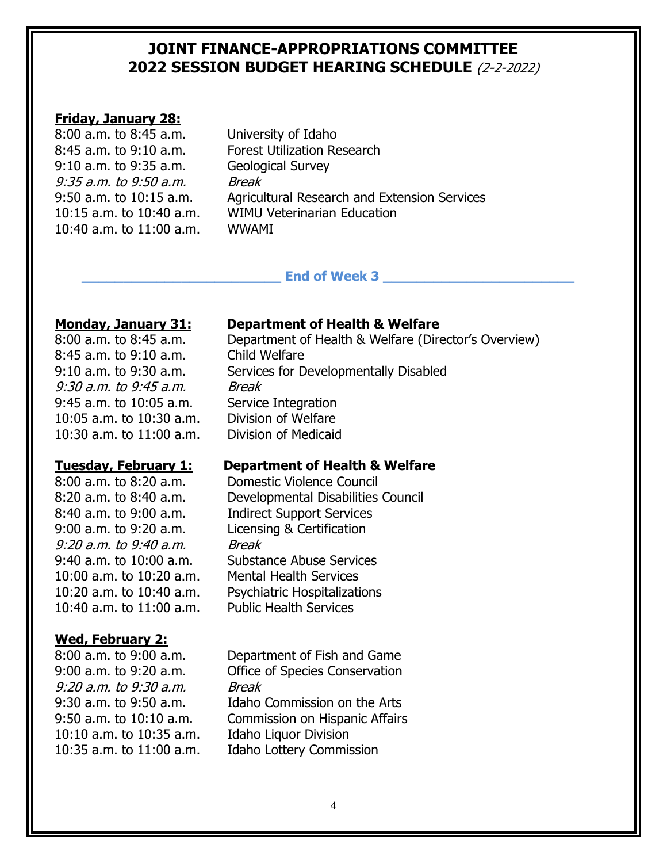# **Friday, January 28:**

| 8:00 a.m. to 8:45 a.m.   |
|--------------------------|
| 8:45 a.m. to 9:10 a.m.   |
| 9:10 a.m. to 9:35 a.m.   |
| 9:35 a.m. to 9:50 a.m.   |
| 9:50 a.m. to 10:15 a.m.  |
| 10:15 a.m. to 10:40 a.m. |
| 10:40 a.m. to 11:00 a.m. |

University of Idaho. Forest Utilization Research Geological Survey **Break** Agricultural Research and Extension Services WIMU Veterinarian Education WWAMI

### End of Week 3

8:45 a.m. to 9:10 a.m. Child Welfare 9:30 a.m. to 9:45 a.m. Break 9:45 a.m. to 10:05 a.m. Service Integration 10:05 a.m. to 10:30 a.m. Division of Welfare 10:30 a.m. to 11:00 a.m. Division of Medicaid

9:00 a.m. to 9:20 a.m. Licensing & Certification 9:20 a.m. to 9:40 a.m. Break 10:00 a.m. to 10:20 a.m. Mental Health Services 10:40 a.m. to 11:00 a.m. Public Health Services

### **Wed, February 2:**

9:20 a.m. to 9:30 a.m. Break 10:10 a.m. to 10:35 a.m. Idaho Liquor Division

# **Monday, January 31: Department of Health & Welfare**

8:00 a.m. to 8:45 a.m. Department of Health & Welfare (Director's Overview) 9:10 a.m. to 9:30 a.m. Services for Developmentally Disabled

### **Tuesday, February 1: Department of Health & Welfare**

8:00 a.m. to 8:20 a.m. Domestic Violence Council 8:20 a.m. to 8:40 a.m. Developmental Disabilities Council 8:40 a.m. to 9:00 a.m. Indirect Support Services 9:40 a.m. to 10:00 a.m. Substance Abuse Services 10:20 a.m. to 10:40 a.m. Psychiatric Hospitalizations

8:00 a.m. to 9:00 a.m. Department of Fish and Game 9:00 a.m. to 9:20 a.m. Office of Species Conservation 9:30 a.m. to 9:50 a.m. Idaho Commission on the Arts 9:50 a.m. to 10:10 a.m. Commission on Hispanic Affairs 10:35 a.m. to 11:00 a.m. Idaho Lottery Commission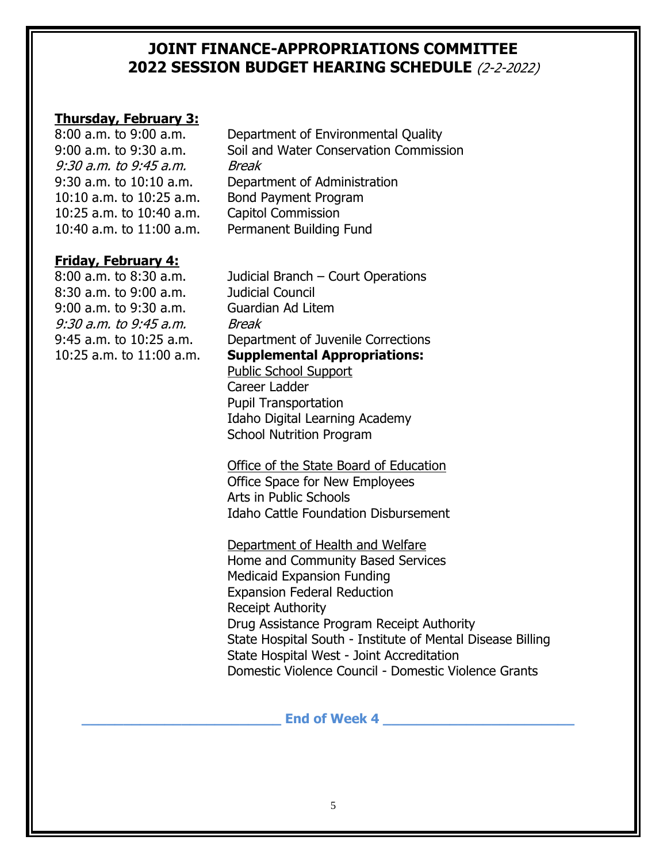# **Thursday, February 3:**

9:30 a.m. to 9:45 a.m. Break 10:10 a.m. to 10:25 a.m. Bond Payment Program 10:25 a.m. to 10:40 a.m. Capitol Commission

# **Friday, February 4:**

8:30 a.m. to 9:00 a.m. Judicial Council 9:00 a.m. to 9:30 a.m. Guardian Ad Litem 9:30 a.m. to 9:45 a.m. Break

8:00 a.m. to 9:00 a.m. Department of Environmental Quality 9:00 a.m. to 9:30 a.m. Soil and Water Conservation Commission 9:30 a.m. to 10:10 a.m. Department of Administration 10:40 a.m. to 11:00 a.m. Permanent Building Fund

8:00 a.m. to 8:30 a.m. Judicial Branch – Court Operations 9:45 a.m. to 10:25 a.m. Department of Juvenile Corrections 10:25 a.m. to 11:00 a.m. **Supplemental Appropriations:** Public School Support

Career Ladder Pupil Transportation Idaho Digital Learning Academy School Nutrition Program

Office of the State Board of Education Office Space for New Employees Arts in Public Schools Idaho Cattle Foundation Disbursement

Department of Health and Welfare

Home and Community Based Services Medicaid Expansion Funding Expansion Federal Reduction Receipt Authority Drug Assistance Program Receipt Authority State Hospital South - Institute of Mental Disease Billing State Hospital West - Joint Accreditation Domestic Violence Council - Domestic Violence Grants

# **End of Week 4 Let us a set of Week 4**  $\blacksquare$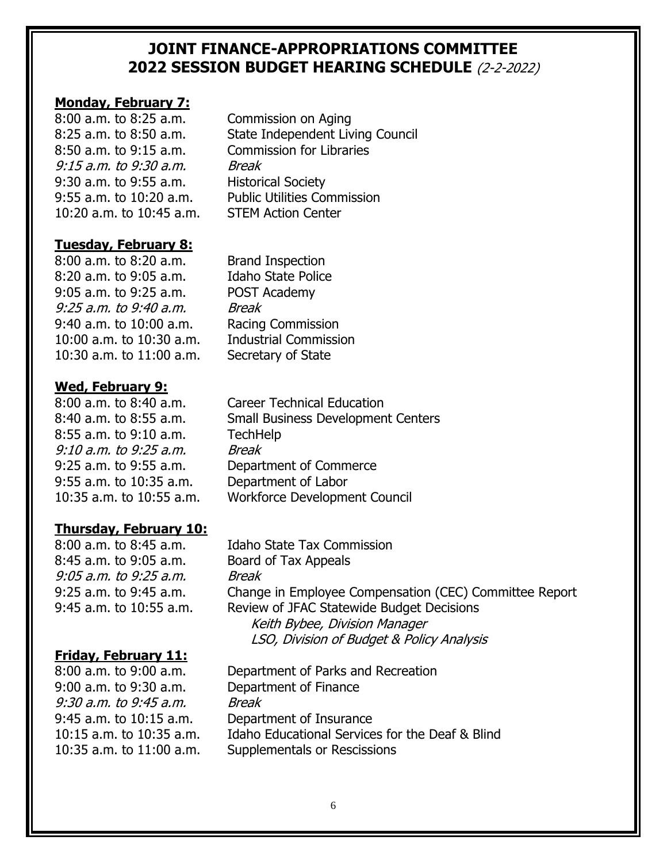# **Monday, February 7:**

8:00 a.m. to 8:25 a.m. Commission on Aging 9:15 a.m. to 9:30 a.m. Break 9:30 a.m. to 9:55 a.m. Historical Society 10:20 a.m. to 10:45 a.m. STEM Action Center

8:25 a.m. to 8:50 a.m. State Independent Living Council 8:50 a.m. to 9:15 a.m. Commission for Libraries 9:55 a.m. to 10:20 a.m. Public Utilities Commission

# **Tuesday, February 8:**

8:00 a.m. to 8:20 a.m. Brand Inspection 8:20 a.m. to 9:05 a.m. Idaho State Police 9:05 a.m. to 9:25 a.m. POST Academy 9:25 a.m. to 9:40 a.m. Break 9:40 a.m. to 10:00 a.m. Racing Commission 10:00 a.m. to 10:30 a.m. Industrial Commission 10:30 a.m. to 11:00 a.m. Secretary of State

# **Wed, February 9:**

8:55 a.m. to 9:10 a.m. TechHelp 9:10 a.m. to 9:25 a.m. Break 9:55 a.m. to 10:35 a.m. Department of Labor

# **Thursday, February 10:**

8:45 a.m. to 9:05 a.m. Board of Tax Appeals 9:05 a.m. to 9:25 a.m. Break

# **Friday, February 11:**

9:00 a.m. to 9:30 a.m. Department of Finance 9:30 a.m. to 9:45 a.m. Break 9:45 a.m. to 10:15 a.m. Department of Insurance

8:00 a.m. to 8:40 a.m. Career Technical Education 8:40 a.m. to 8:55 a.m. Small Business Development Centers 9:25 a.m. to 9:55 a.m. Department of Commerce 10:35 a.m. to 10:55 a.m. Workforce Development Council

8:00 a.m. to 8:45 a.m. Idaho State Tax Commission 9:25 a.m. to 9:45 a.m. Change in Employee Compensation (CEC) Committee Report 9:45 a.m. to 10:55 a.m. Review of JFAC Statewide Budget Decisions Keith Bybee, Division Manager LSO, Division of Budget & Policy Analysis

8:00 a.m. to 9:00 a.m. Department of Parks and Recreation 10:15 a.m. to 10:35 a.m. Idaho Educational Services for the Deaf & Blind 10:35 a.m. to 11:00 a.m. Supplementals or Rescissions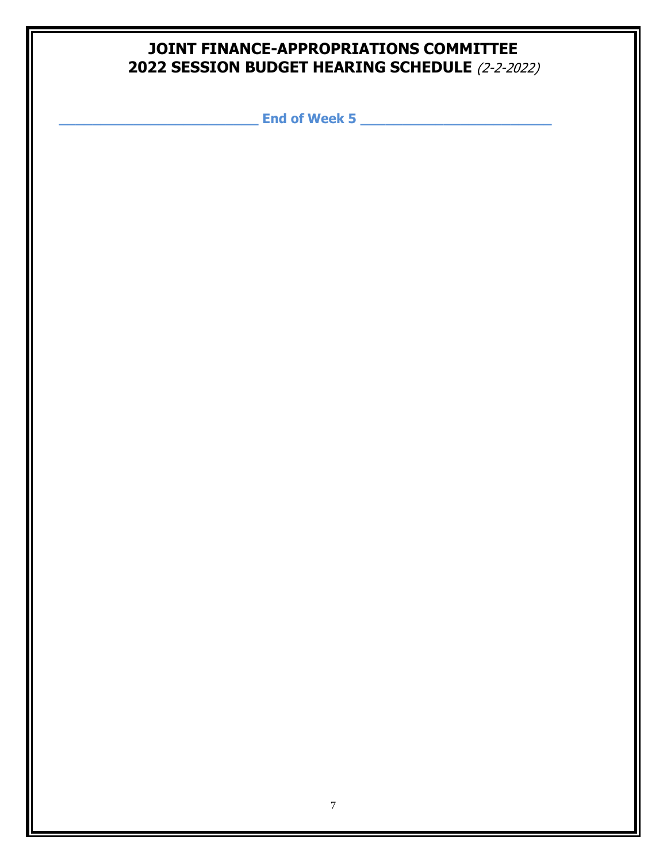**\_\_\_\_\_\_\_\_\_\_\_\_\_\_\_\_\_\_\_\_\_\_\_\_ End of Week 5 \_\_\_\_\_\_\_\_\_\_\_\_\_\_\_\_\_\_\_\_\_\_\_**